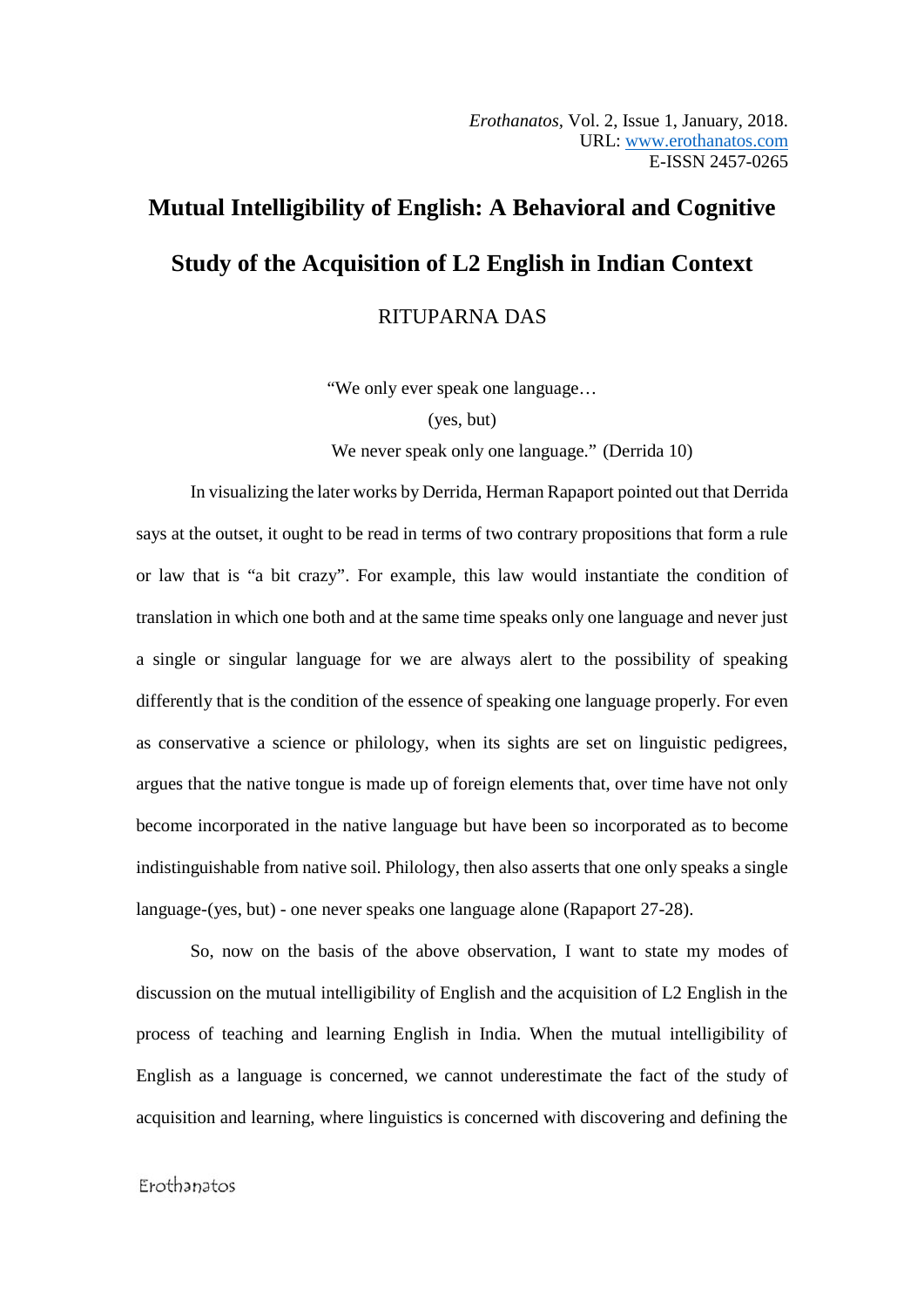# **Mutual Intelligibility of English: A Behavioral and Cognitive Study of the Acquisition of L2 English in Indian Context**

RITUPARNA DAS

"We only ever speak one language…

(yes, but)

We never speak only one language." (Derrida 10)

In visualizing the later works by Derrida, Herman Rapaport pointed out that Derrida says at the outset, it ought to be read in terms of two contrary propositions that form a rule or law that is "a bit crazy". For example, this law would instantiate the condition of translation in which one both and at the same time speaks only one language and never just a single or singular language for we are always alert to the possibility of speaking differently that is the condition of the essence of speaking one language properly. For even as conservative a science or philology, when its sights are set on linguistic pedigrees, argues that the native tongue is made up of foreign elements that, over time have not only become incorporated in the native language but have been so incorporated as to become indistinguishable from native soil. Philology, then also asserts that one only speaks a single language-(yes, but) - one never speaks one language alone (Rapaport 27-28).

So, now on the basis of the above observation, I want to state my modes of discussion on the mutual intelligibility of English and the acquisition of L2 English in the process of teaching and learning English in India. When the mutual intelligibility of English as a language is concerned, we cannot underestimate the fact of the study of acquisition and learning, where linguistics is concerned with discovering and defining the

# Erothanatos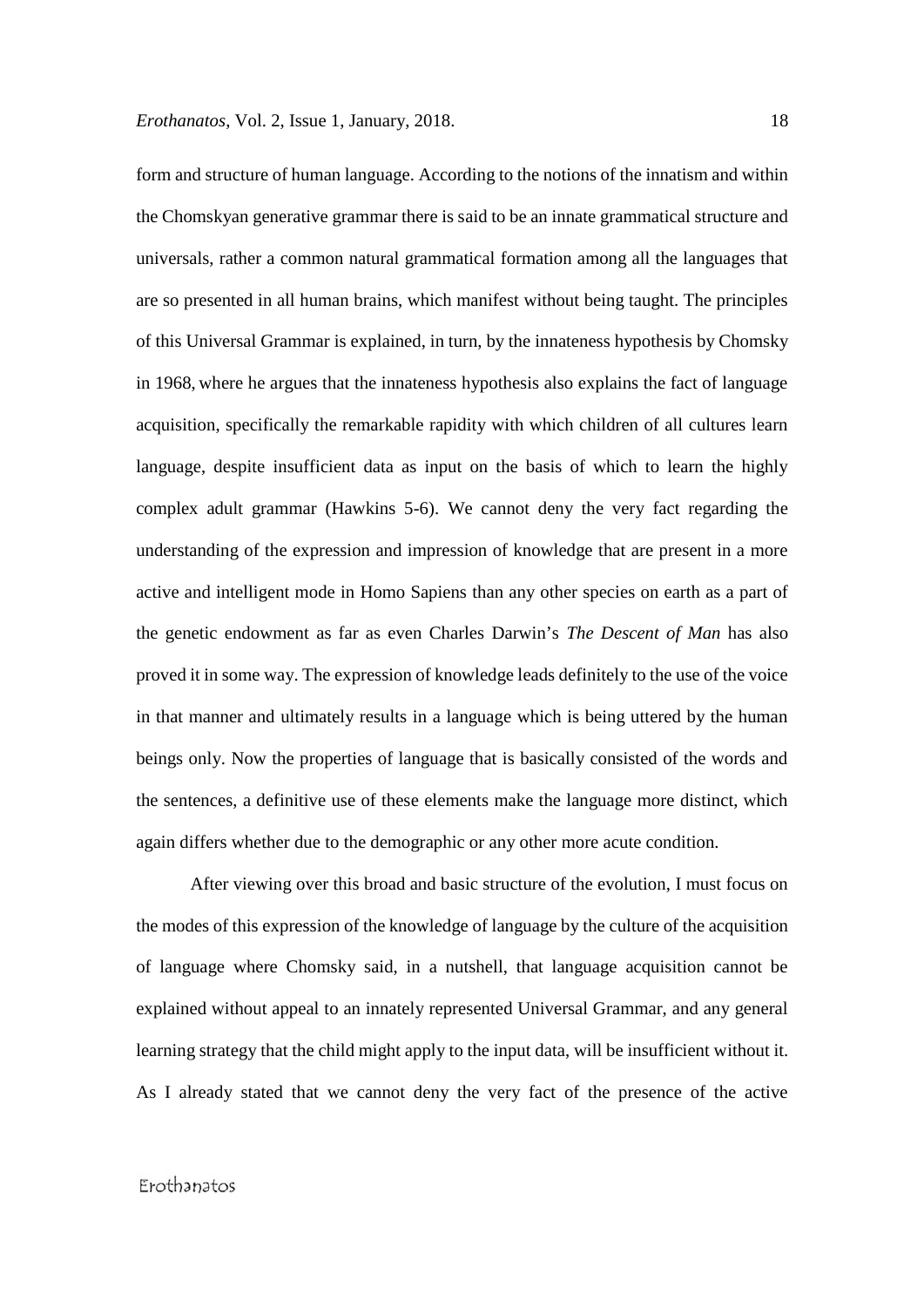form and structure of human language. According to the notions of the innatism and within the Chomskyan generative grammar there is said to be an innate grammatical structure and universals, rather a common natural grammatical formation among all the languages that are so presented in all human brains, which manifest without being taught. The principles of this Universal Grammar is explained, in turn, by the innateness hypothesis by Chomsky in 1968, where he argues that the innateness hypothesis also explains the fact of language acquisition, specifically the remarkable rapidity with which children of all cultures learn language, despite insufficient data as input on the basis of which to learn the highly complex adult grammar (Hawkins 5-6). We cannot deny the very fact regarding the understanding of the expression and impression of knowledge that are present in a more active and intelligent mode in Homo Sapiens than any other species on earth as a part of the genetic endowment as far as even Charles Darwin's *The Descent of Man* has also proved it in some way. The expression of knowledge leads definitely to the use of the voice in that manner and ultimately results in a language which is being uttered by the human beings only. Now the properties of language that is basically consisted of the words and the sentences, a definitive use of these elements make the language more distinct, which again differs whether due to the demographic or any other more acute condition.

After viewing over this broad and basic structure of the evolution, I must focus on the modes of this expression of the knowledge of language by the culture of the acquisition of language where Chomsky said, in a nutshell, that language acquisition cannot be explained without appeal to an innately represented Universal Grammar, and any general learning strategy that the child might apply to the input data, will be insufficient without it. As I already stated that we cannot deny the very fact of the presence of the active

# Erothanatos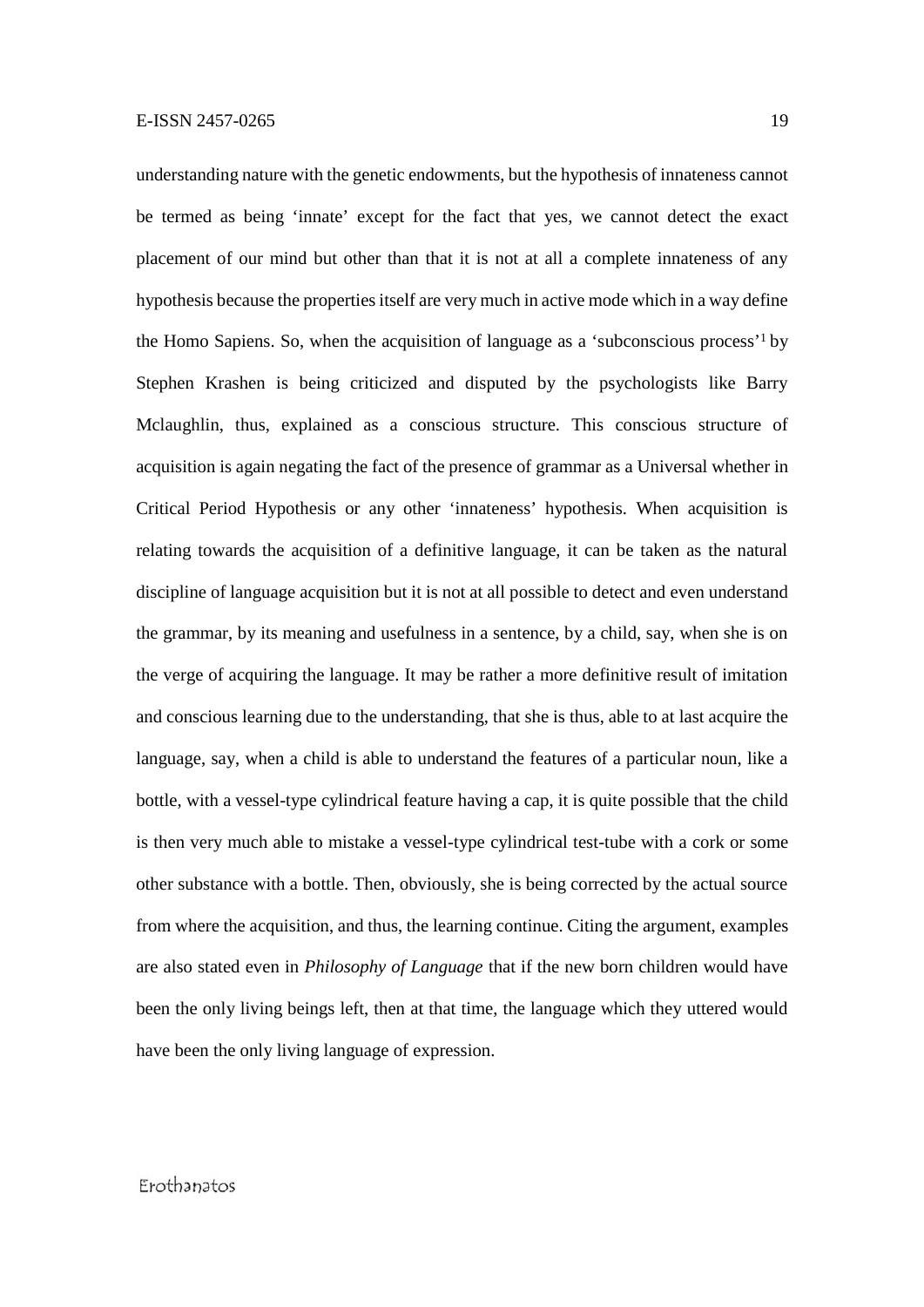understanding nature with the genetic endowments, but the hypothesis of innateness cannot be termed as being 'innate' except for the fact that yes, we cannot detect the exact placement of our mind but other than that it is not at all a complete innateness of any hypothesis because the properties itself are very much in active mode which in a way define the Homo Sapiens. So, when the acquisition of language as a 'subconscious process'<sup>1</sup> by Stephen Krashen is being criticized and disputed by the psychologists like Barry Mclaughlin, thus, explained as a conscious structure. This conscious structure of acquisition is again negating the fact of the presence of grammar as a Universal whether in Critical Period Hypothesis or any other 'innateness' hypothesis. When acquisition is relating towards the acquisition of a definitive language, it can be taken as the natural discipline of language acquisition but it is not at all possible to detect and even understand the grammar, by its meaning and usefulness in a sentence, by a child, say, when she is on the verge of acquiring the language. It may be rather a more definitive result of imitation and conscious learning due to the understanding, that she is thus, able to at last acquire the language, say, when a child is able to understand the features of a particular noun, like a bottle, with a vessel-type cylindrical feature having a cap, it is quite possible that the child is then very much able to mistake a vessel-type cylindrical test-tube with a cork or some other substance with a bottle. Then, obviously, she is being corrected by the actual source from where the acquisition, and thus, the learning continue. Citing the argument, examples are also stated even in *Philosophy of Language* that if the new born children would have been the only living beings left, then at that time, the language which they uttered would have been the only living language of expression.

# Frothanatos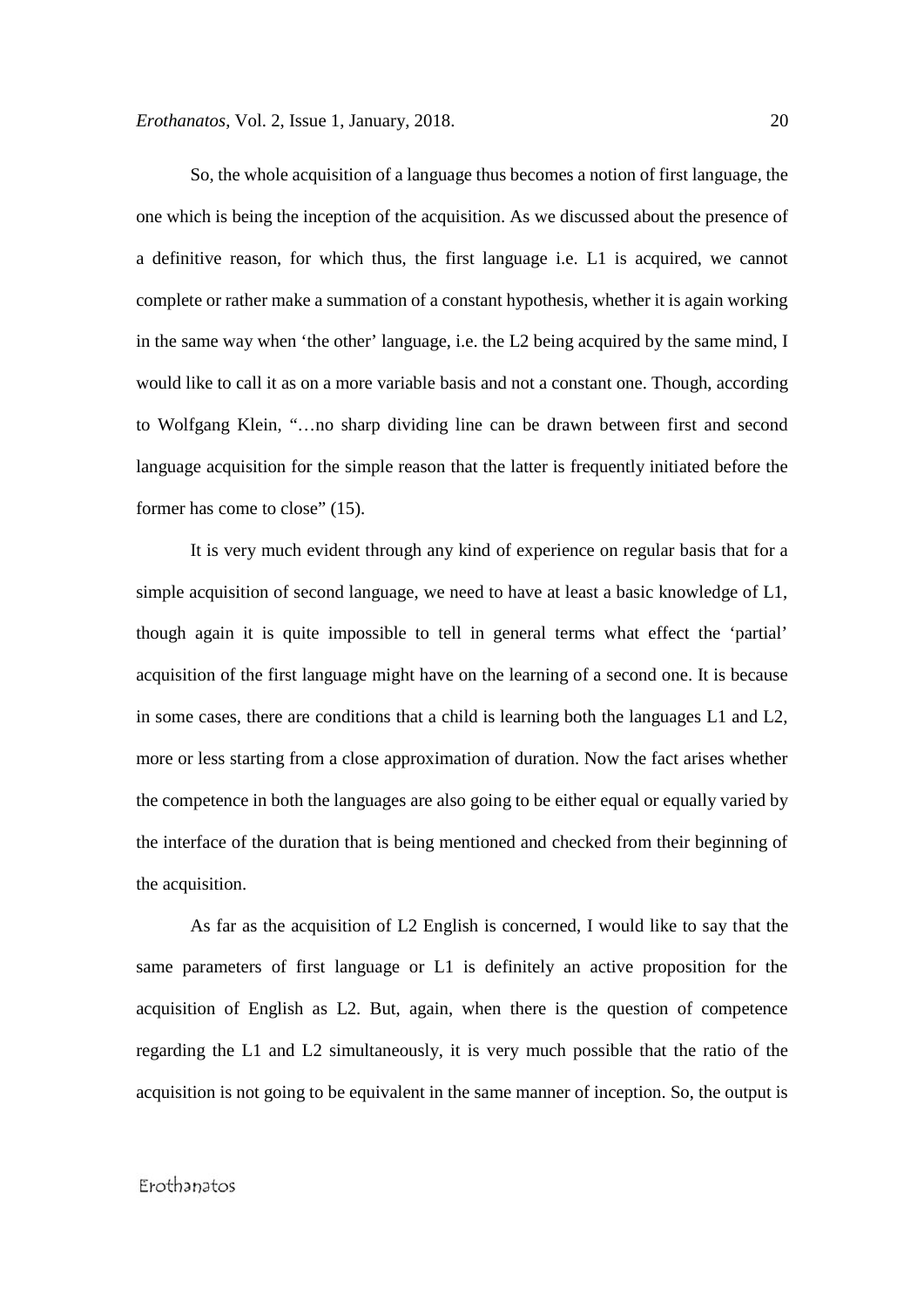So, the whole acquisition of a language thus becomes a notion of first language, the one which is being the inception of the acquisition. As we discussed about the presence of a definitive reason, for which thus, the first language i.e. L1 is acquired, we cannot complete or rather make a summation of a constant hypothesis, whether it is again working in the same way when 'the other' language, i.e. the L2 being acquired by the same mind, I would like to call it as on a more variable basis and not a constant one. Though, according to Wolfgang Klein, "…no sharp dividing line can be drawn between first and second language acquisition for the simple reason that the latter is frequently initiated before the former has come to close" (15).

It is very much evident through any kind of experience on regular basis that for a simple acquisition of second language, we need to have at least a basic knowledge of L1, though again it is quite impossible to tell in general terms what effect the 'partial' acquisition of the first language might have on the learning of a second one. It is because in some cases, there are conditions that a child is learning both the languages L1 and L2, more or less starting from a close approximation of duration. Now the fact arises whether the competence in both the languages are also going to be either equal or equally varied by the interface of the duration that is being mentioned and checked from their beginning of the acquisition.

As far as the acquisition of L2 English is concerned, I would like to say that the same parameters of first language or L1 is definitely an active proposition for the acquisition of English as L2. But, again, when there is the question of competence regarding the L1 and L2 simultaneously, it is very much possible that the ratio of the acquisition is not going to be equivalent in the same manner of inception. So, the output is

# Erothanatos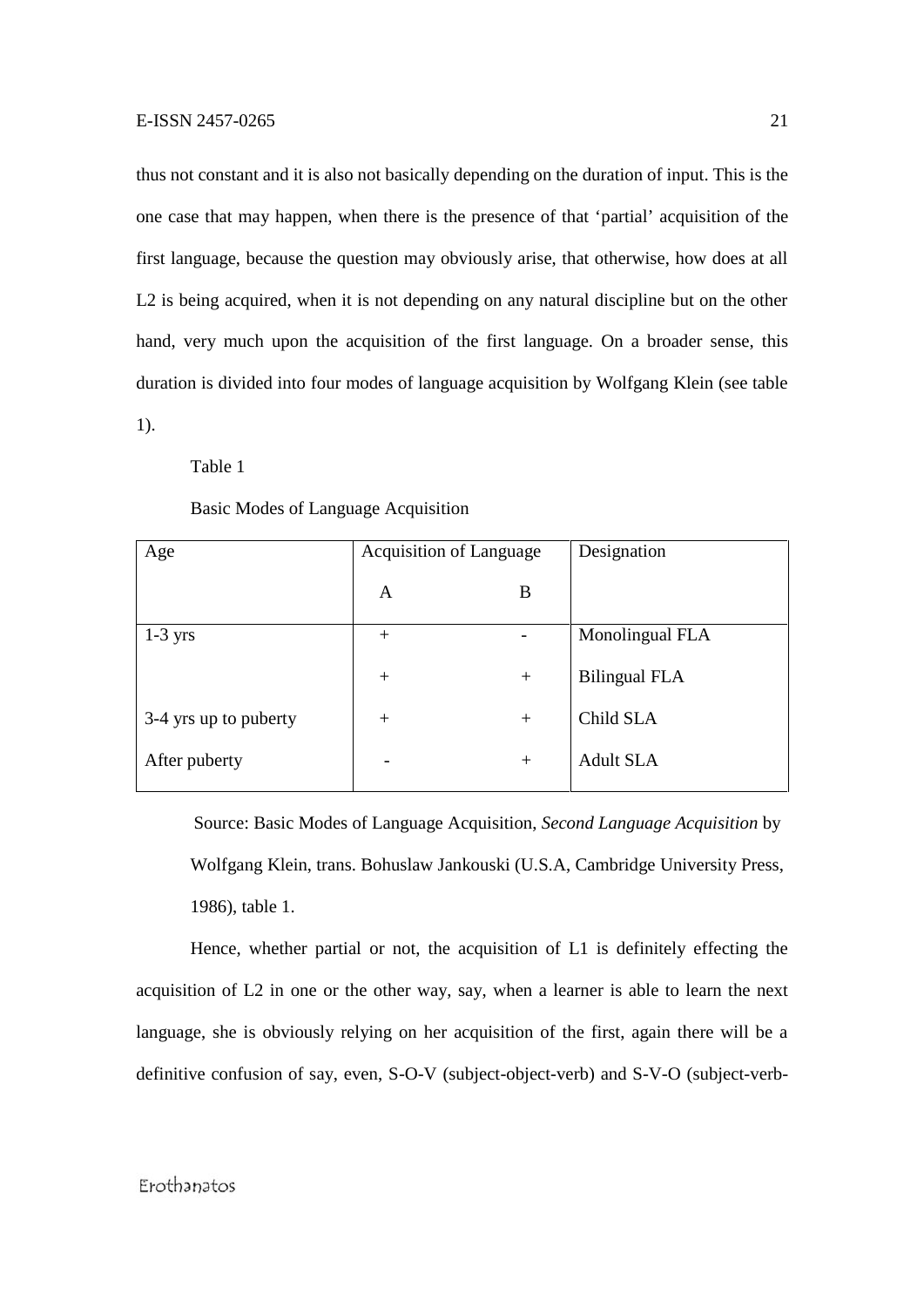thus not constant and it is also not basically depending on the duration of input. This is the one case that may happen, when there is the presence of that 'partial' acquisition of the first language, because the question may obviously arise, that otherwise, how does at all L<sub>2</sub> is being acquired, when it is not depending on any natural discipline but on the other hand, very much upon the acquisition of the first language. On a broader sense, this duration is divided into four modes of language acquisition by Wolfgang Klein (see table 1).

Table 1

#### Basic Modes of Language Acquisition

| Age                   | <b>Acquisition of Language</b> |     | Designation          |
|-----------------------|--------------------------------|-----|----------------------|
|                       | A                              | B   |                      |
| $1-3$ yrs             | $^{+}$                         |     | Monolingual FLA      |
|                       | $+$                            | $+$ | <b>Bilingual FLA</b> |
| 3-4 yrs up to puberty | $+$                            | $+$ | Child SLA            |
| After puberty         |                                | $+$ | <b>Adult SLA</b>     |

Source: Basic Modes of Language Acquisition, *Second Language Acquisition* by Wolfgang Klein, trans. Bohuslaw Jankouski (U.S.A, Cambridge University Press, 1986), table 1.

Hence, whether partial or not, the acquisition of L1 is definitely effecting the acquisition of L2 in one or the other way, say, when a learner is able to learn the next language, she is obviously relying on her acquisition of the first, again there will be a definitive confusion of say, even, S-O-V (subject-object-verb) and S-V-O (subject-verb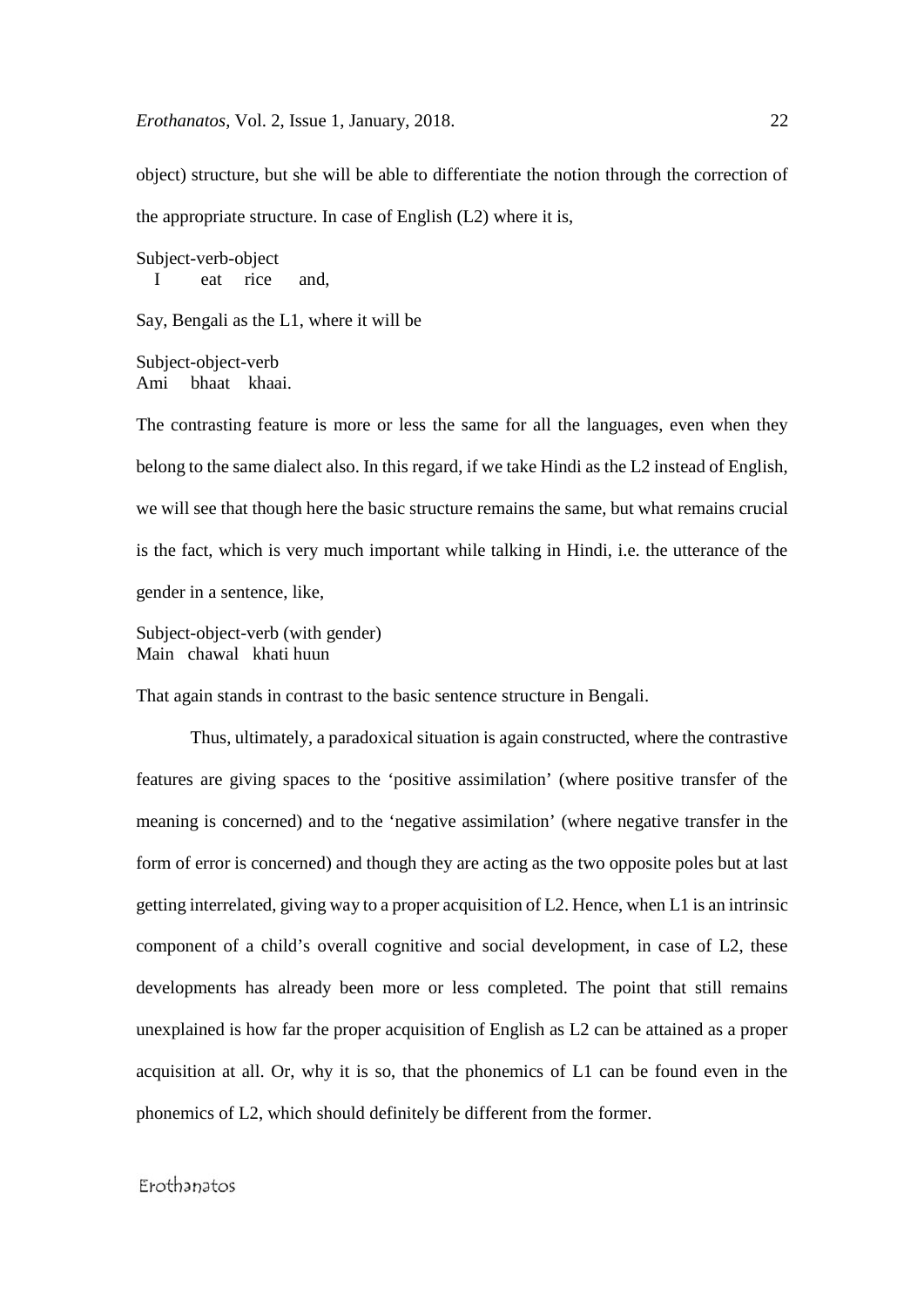*Erothanatos*, Vol. 2, Issue 1, January, 2018. 22

object) structure, but she will be able to differentiate the notion through the correction of the appropriate structure. In case of English (L2) where it is,

Subject-verb-object I eat rice and,

Say, Bengali as the L1, where it will be

Subject-object-verb Ami bhaat khaai.

The contrasting feature is more or less the same for all the languages, even when they belong to the same dialect also. In this regard, if we take Hindi as the L2 instead of English, we will see that though here the basic structure remains the same, but what remains crucial is the fact, which is very much important while talking in Hindi, i.e. the utterance of the gender in a sentence, like,

Subject-object-verb (with gender) Main chawal khati huun

That again stands in contrast to the basic sentence structure in Bengali.

Thus, ultimately, a paradoxical situation is again constructed, where the contrastive features are giving spaces to the 'positive assimilation' (where positive transfer of the meaning is concerned) and to the 'negative assimilation' (where negative transfer in the form of error is concerned) and though they are acting as the two opposite poles but at last getting interrelated, giving way to a proper acquisition of L2. Hence, when L1 is an intrinsic component of a child's overall cognitive and social development, in case of L2, these developments has already been more or less completed. The point that still remains unexplained is how far the proper acquisition of English as L2 can be attained as a proper acquisition at all. Or, why it is so, that the phonemics of L1 can be found even in the phonemics of L2, which should definitely be different from the former.

# Frothanatos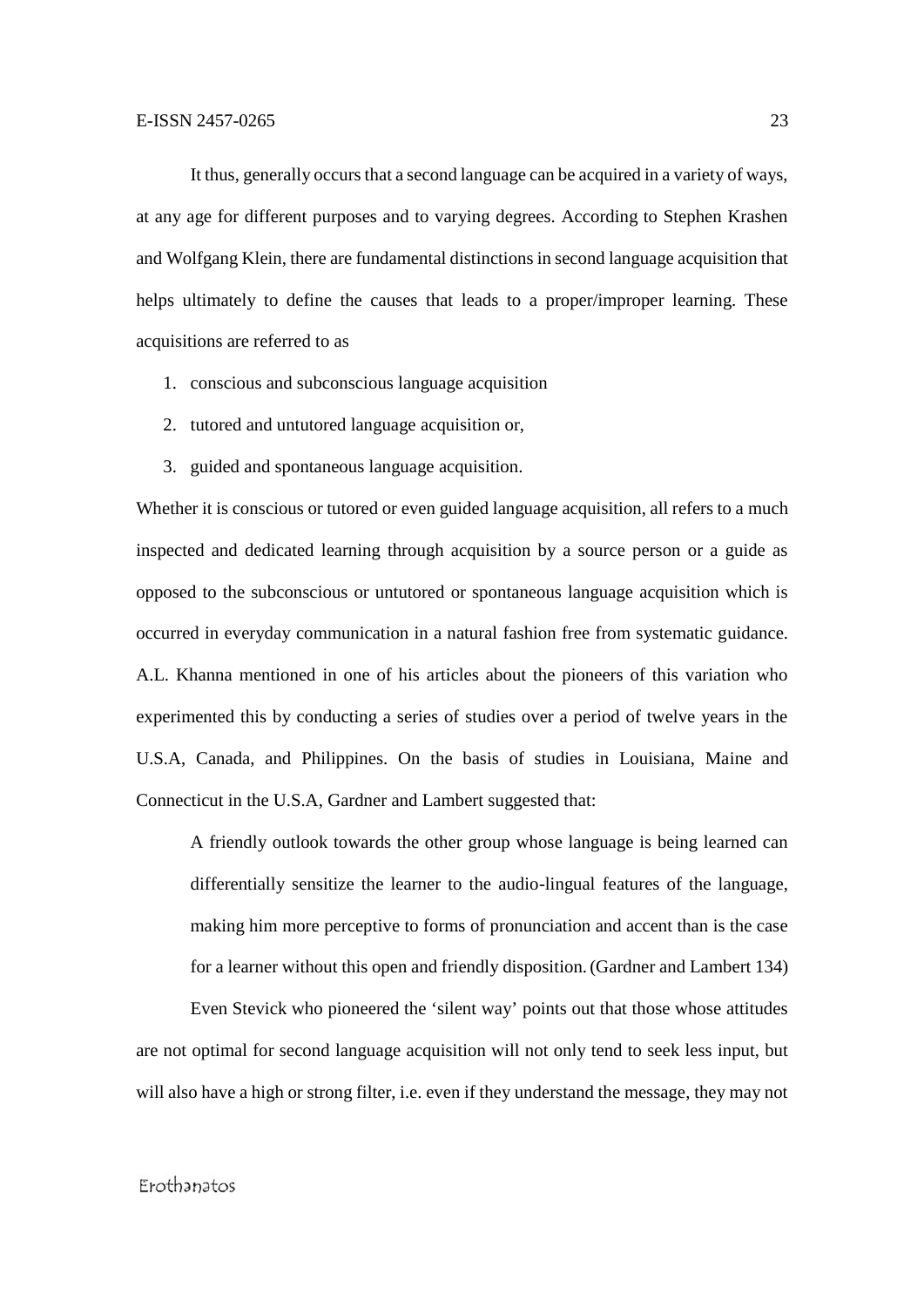It thus, generally occurs that a second language can be acquired in a variety of ways, at any age for different purposes and to varying degrees. According to Stephen Krashen and Wolfgang Klein, there are fundamental distinctions in second language acquisition that helps ultimately to define the causes that leads to a proper/improper learning. These acquisitions are referred to as

- 1. conscious and subconscious language acquisition
- 2. tutored and untutored language acquisition or,
- 3. guided and spontaneous language acquisition.

Whether it is conscious or tutored or even guided language acquisition, all refers to a much inspected and dedicated learning through acquisition by a source person or a guide as opposed to the subconscious or untutored or spontaneous language acquisition which is occurred in everyday communication in a natural fashion free from systematic guidance. A.L. Khanna mentioned in one of his articles about the pioneers of this variation who experimented this by conducting a series of studies over a period of twelve years in the U.S.A, Canada, and Philippines. On the basis of studies in Louisiana, Maine and Connecticut in the U.S.A, Gardner and Lambert suggested that:

A friendly outlook towards the other group whose language is being learned can differentially sensitize the learner to the audio-lingual features of the language, making him more perceptive to forms of pronunciation and accent than is the case for a learner without this open and friendly disposition.(Gardner and Lambert 134)

Even Stevick who pioneered the 'silent way' points out that those whose attitudes are not optimal for second language acquisition will not only tend to seek less input, but will also have a high or strong filter, i.e. even if they understand the message, they may not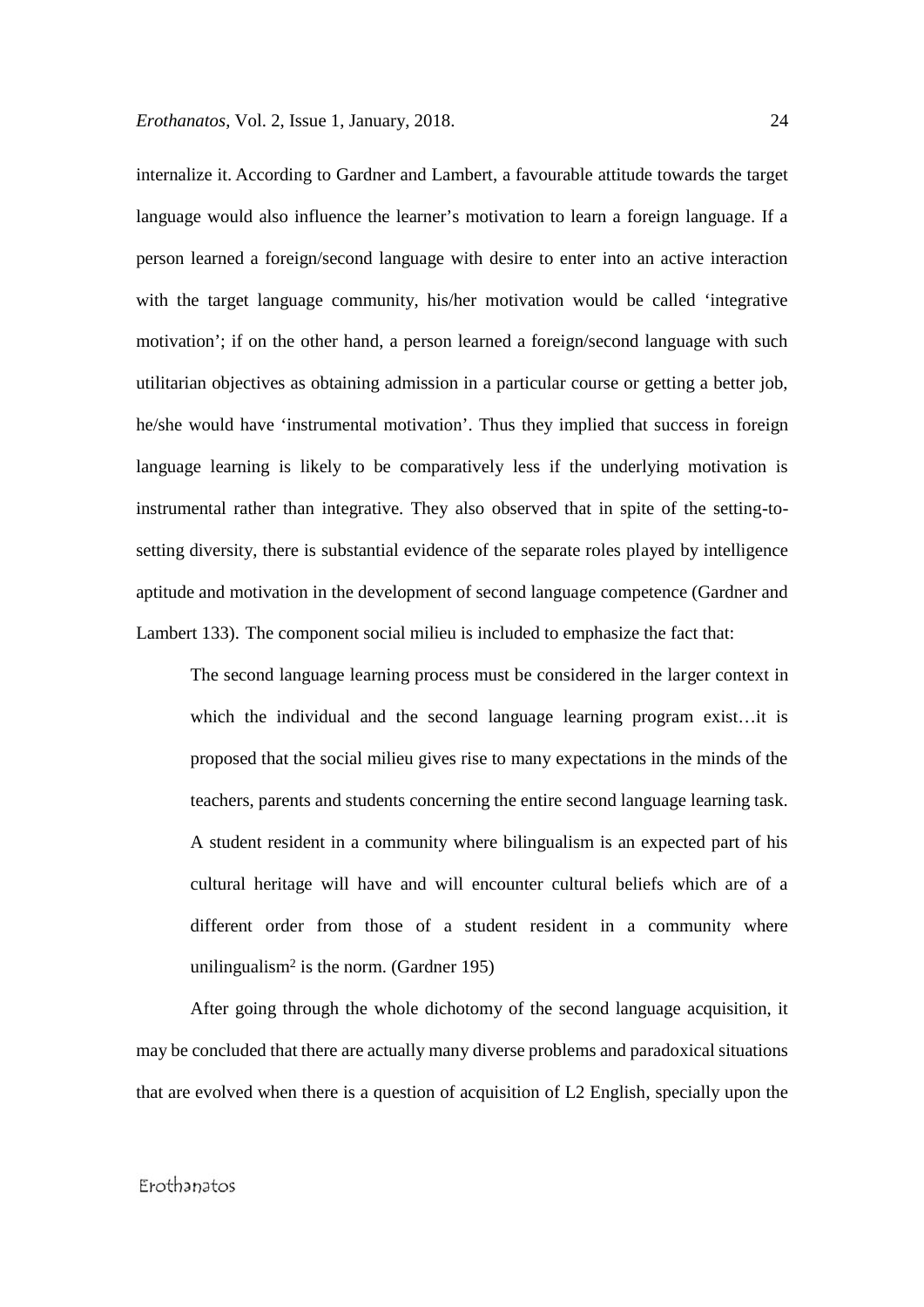internalize it. According to Gardner and Lambert, a favourable attitude towards the target language would also influence the learner's motivation to learn a foreign language. If a person learned a foreign/second language with desire to enter into an active interaction with the target language community, his/her motivation would be called 'integrative motivation'; if on the other hand, a person learned a foreign/second language with such utilitarian objectives as obtaining admission in a particular course or getting a better job, he/she would have 'instrumental motivation'. Thus they implied that success in foreign language learning is likely to be comparatively less if the underlying motivation is instrumental rather than integrative. They also observed that in spite of the setting-to setting diversity, there is substantial evidence of the separate roles played by intelligence aptitude and motivation in the development of second language competence (Gardner and Lambert 133). The component social milieu is included to emphasize the fact that:

The second language learning process must be considered in the larger context in which the individual and the second language learning program exist…it is proposed that the social milieu gives rise to many expectations in the minds of the teachers, parents and students concerning the entire second language learning task. A student resident in a community where bilingualism is an expected part of his cultural heritage will have and will encounter cultural beliefs which are of a different order from those of a student resident in a community where unilingualism<sup>2</sup> is the norm. (Gardner 195)

After going through the whole dichotomy of the second language acquisition, it may be concluded that there are actually many diverse problems and paradoxical situations that are evolved when there is a question of acquisition of L2 English, specially upon the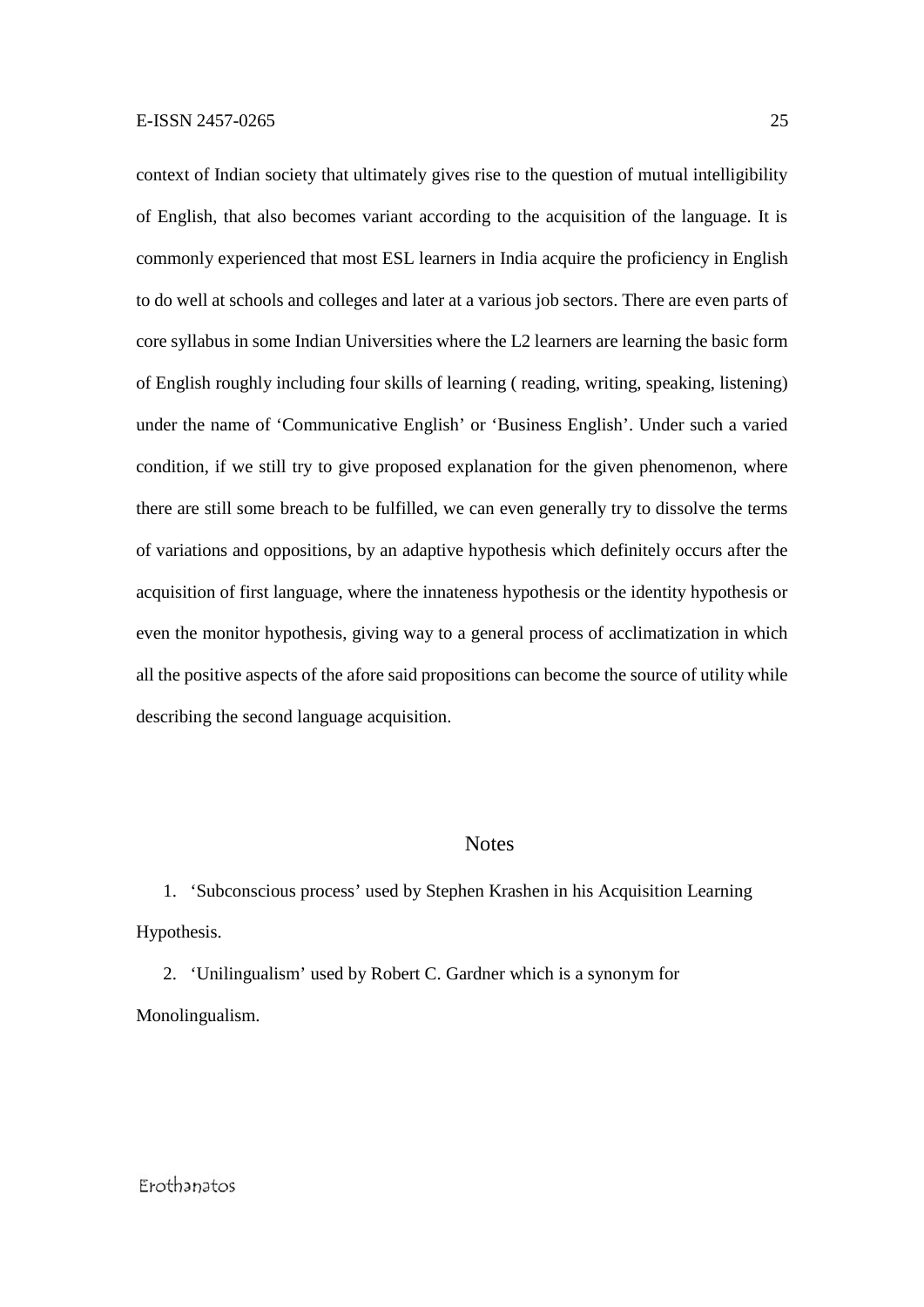context of Indian society that ultimately gives rise to the question of mutual intelligibility of English, that also becomes variant according to the acquisition of the language. It is commonly experienced that most ESL learners in India acquire the proficiency in English to do well at schools and colleges and later at a various job sectors. There are even parts of core syllabus in some Indian Universities where the L2 learners are learning the basic form of English roughly including four skills of learning ( reading, writing, speaking, listening) under the name of 'Communicative English' or 'Business English'. Under such a varied condition, if we still try to give proposed explanation for the given phenomenon, where there are still some breach to be fulfilled, we can even generally try to dissolve the terms of variations and oppositions, by an adaptive hypothesis which definitely occurs after the acquisition of first language, where the innateness hypothesis or the identity hypothesis or even the monitor hypothesis, giving way to a general process of acclimatization in which all the positive aspects of the afore said propositions can become the source of utility while describing the second language acquisition.

#### **Notes**

1. 'Subconscious process' used by Stephen Krashen in his Acquisition Learning Hypothesis.

2. 'Unilingualism' used by Robert C. Gardner which is a synonym for Monolingualism.

### Frothanatos